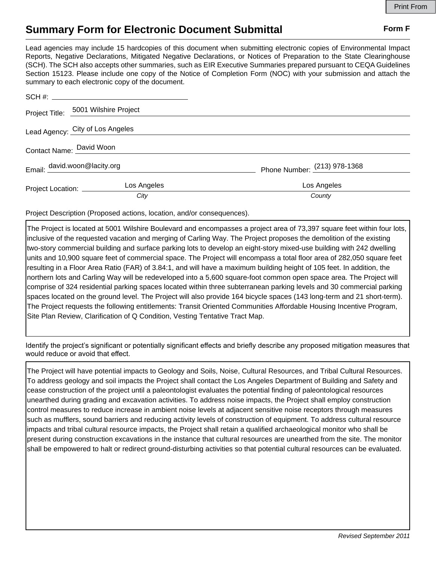## **Summary Form for Electronic Document Submittal Form F Form F**

Lead agencies may include 15 hardcopies of this document when submitting electronic copies of Environmental Impact Reports, Negative Declarations, Mitigated Negative Declarations, or Notices of Preparation to the State Clearinghouse (SCH). The SCH also accepts other summaries, such as EIR Executive Summaries prepared pursuant to CEQA Guidelines Section 15123. Please include one copy of the Notice of Completion Form (NOC) with your submission and attach the summary to each electronic copy of the document.

|                                  | Project Title: 5001 Wilshire Project |                                |
|----------------------------------|--------------------------------------|--------------------------------|
| Lead Agency: City of Los Angeles |                                      |                                |
| Contact Name: David Woon         |                                      |                                |
| Email: david.woon@lacity.org     |                                      | Phone Number: $(213)$ 978-1368 |
| Project Location: _________      | Los Angeles                          | Los Angeles                    |
|                                  | City                                 | County                         |

Project Description (Proposed actions, location, and/or consequences).

The Project is located at 5001 Wilshire Boulevard and encompasses a project area of 73,397 square feet within four lots, inclusive of the requested vacation and merging of Carling Way. The Project proposes the demolition of the existing two-story commercial building and surface parking lots to develop an eight-story mixed-use building with 242 dwelling units and 10,900 square feet of commercial space. The Project will encompass a total floor area of 282,050 square feet resulting in a Floor Area Ratio (FAR) of 3.84:1, and will have a maximum building height of 105 feet. In addition, the northern lots and Carling Way will be redeveloped into a 5,600 square-foot common open space area. The Project will comprise of 324 residential parking spaces located within three subterranean parking levels and 30 commercial parking spaces located on the ground level. The Project will also provide 164 bicycle spaces (143 long-term and 21 short-term). The Project requests the following entitlements: Transit Oriented Communities Affordable Housing Incentive Program, Site Plan Review, Clarification of Q Condition, Vesting Tentative Tract Map.

Identify the project's significant or potentially significant effects and briefly describe any proposed mitigation measures that would reduce or avoid that effect.

The Project will have potential impacts to Geology and Soils, Noise, Cultural Resources, and Tribal Cultural Resources. To address geology and soil impacts the Project shall contact the Los Angeles Department of Building and Safety and cease construction of the project until a paleontologist evaluates the potential finding of paleontological resources unearthed during grading and excavation activities. To address noise impacts, the Project shall employ construction control measures to reduce increase in ambient noise levels at adjacent sensitive noise receptors through measures such as mufflers, sound barriers and reducing activity levels of construction of equipment. To address cultural resource impacts and tribal cultural resource impacts, the Project shall retain a qualified archaeological monitor who shall be present during construction excavations in the instance that cultural resources are unearthed from the site. The monitor shall be empowered to halt or redirect ground-disturbing activities so that potential cultural resources can be evaluated.